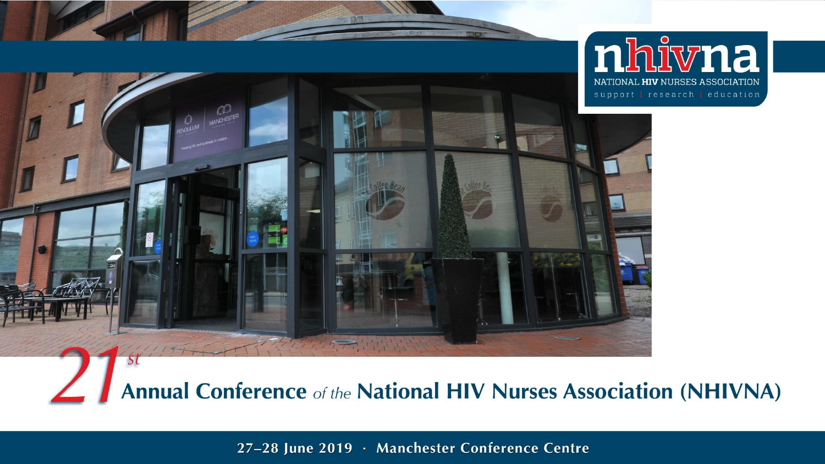

**Annual Conference of the National HIV Nurses Association (NHIVNA)** 

27-28 June 2019 · Manchester Conference Centre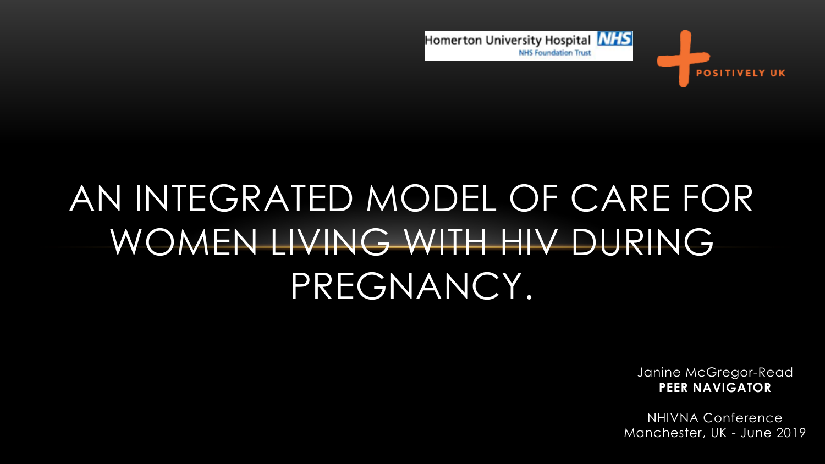

# AN INTEGRATED MODEL OF CARE FOR WOMEN LIVING WITH HIV DURING PREGNANCY.

Janine McGregor-Read **PEER NAVIGATOR**

NHIVNA Conference Manchester, UK - June 2019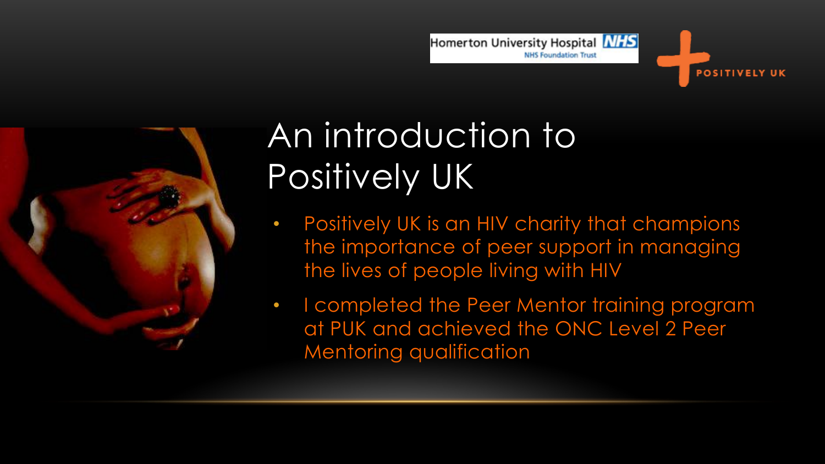



### An introduction to Positively UK

- Positively UK is an HIV charity that champions the importance of peer support in managing the lives of people living with HIV
- I completed the Peer Mentor training program at PUK and achieved the ONC Level 2 Peer Mentoring qualification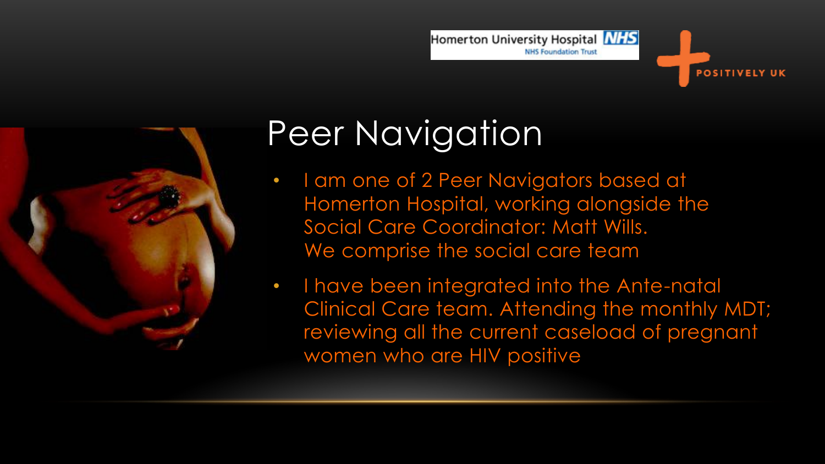



- I am one of 2 Peer Navigators based at Homerton Hospital, working alongside the Social Care Coordinator: Matt Wills. We comprise the social care team
- I have been integrated into the Ante-natal Clinical Care team. Attending the monthly MDT; reviewing all the current caseload of pregnant women who are HIV positive

Homerton University Hospital **NHS** 

**NHS Foundation Trust** 

**OSITIVELY UK**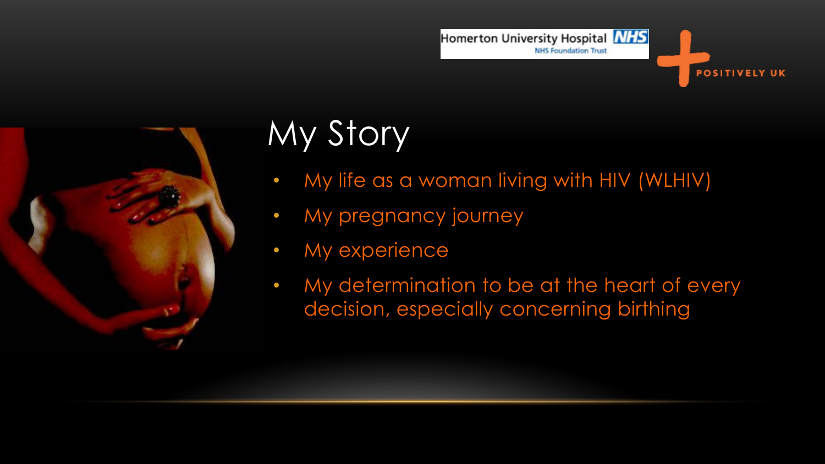

## My Story

• My life as a woman living with HIV (WLHIV)

Homerton University Hospital **NHS** 

**NHS Foundation Trust** 

POSITIVELY UK

- My pregnancy journey
- My experience
- My determination to be at the heart of every decision, especially concerning birthing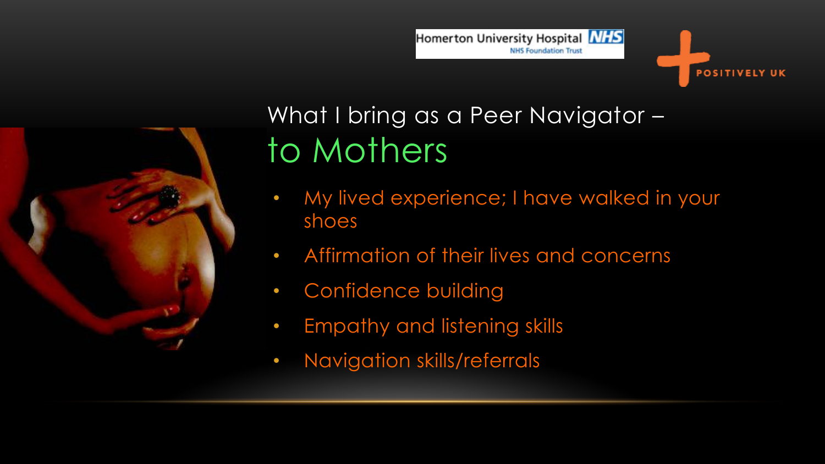



Homerton University Hospital **NHS** 



### What I bring as a Peer Navigator – to Mothers

- My lived experience; I have walked in your shoes
- Affirmation of their lives and concerns
- Confidence building
- Empathy and listening skills
- Navigation skills/referrals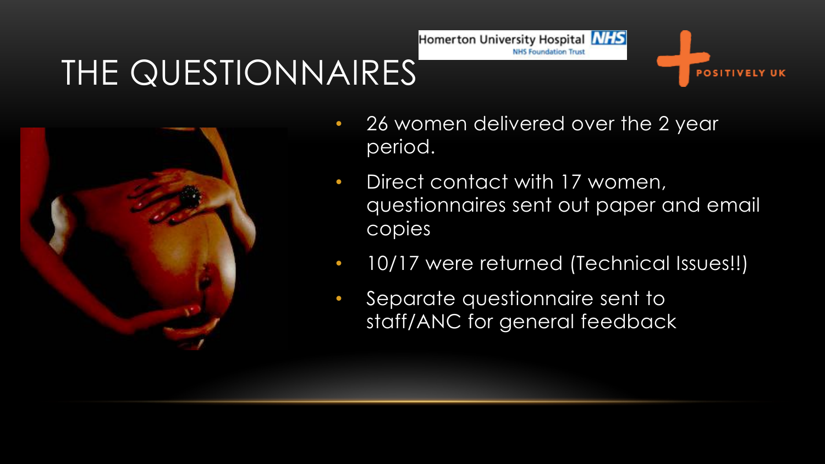### THE QUESTIONNAIRES'



• 26 women delivered over the 2 year period.

Homerton University Hospital **NHS** 

**NHS Foundation Trust** 

**OSITIVELY UK** 

- Direct contact with 17 women, questionnaires sent out paper and email copies
- 10/17 were returned (Technical Issues!!)
- Separate questionnaire sent to staff/ANC for general feedback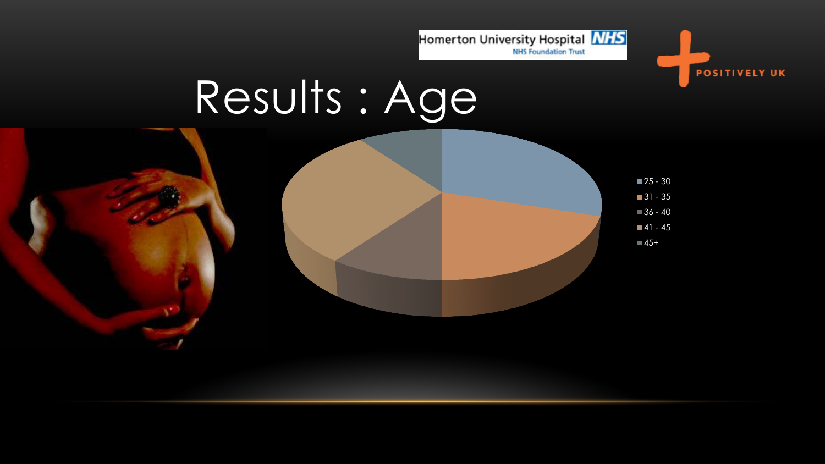

**POSITIVELY UK** 

# Results : Age

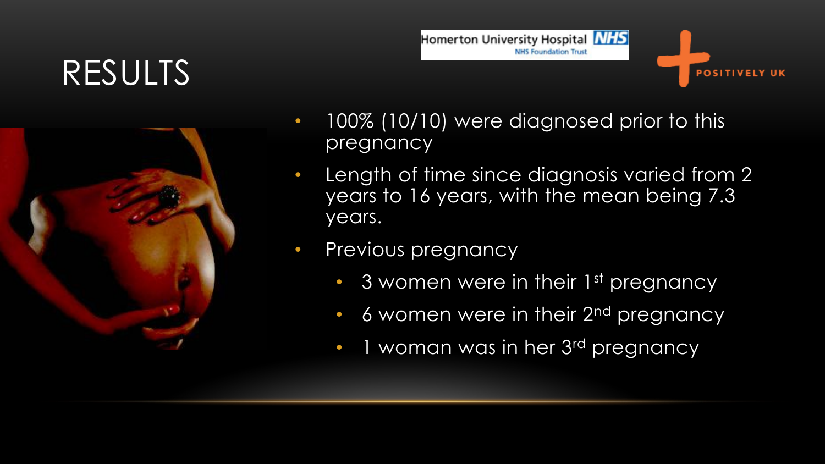### RESULTS





- 100% (10/10) were diagnosed prior to this pregnancy
- Length of time since diagnosis varied from 2 years to 16 years, with the mean being 7.3 years.
- Previous pregnancy
	- 3 women were in their 1<sup>st</sup> pregnancy
	- 6 women were in their 2<sup>nd</sup> pregnancy
	- 1 woman was in her 3<sup>rd</sup> pregnancy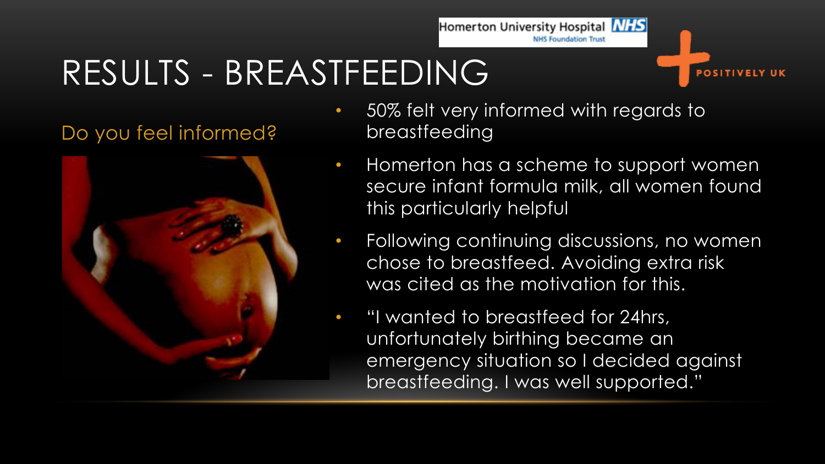### RESULTS - BREASTFEEDING

#### Do you feel informed?



• 50% felt very informed with regards to breastfeeding

Homerton University Hospital **NHS** 

**NHS Foundation Trust** 

OSITIVELY UK

- Homerton has a scheme to support women secure infant formula milk, all women found this particularly helpful
- Following continuing discussions, no women chose to breastfeed. Avoiding extra risk was cited as the motivation for this.
	- "I wanted to breastfeed for 24hrs, unfortunately birthing became an emergency situation so I decided against breastfeeding. I was well supported."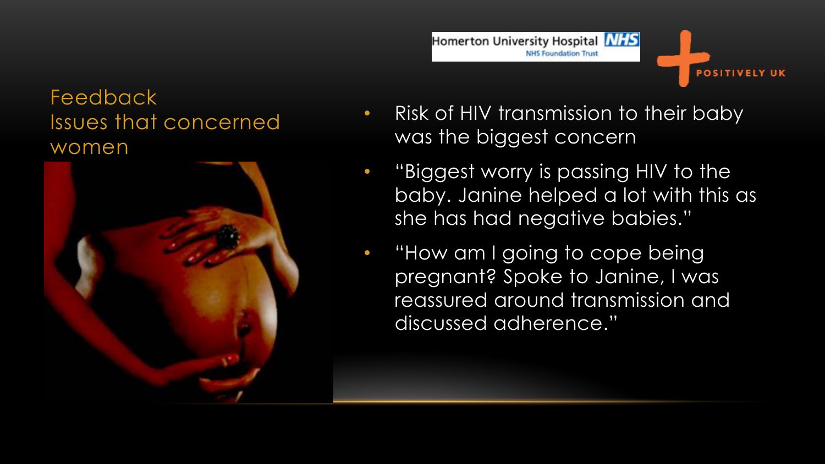#### Feedback Issues that concerned women



#### **NHS Foundation Trust OSITIVELY UK** • Risk of HIV transmission to their baby

was the biggest concern

Homerton University Hospital **NHS** 

- "Biggest worry is passing HIV to the baby. Janine helped a lot with this as she has had negative babies."
- "How am I going to cope being pregnant? Spoke to Janine, I was reassured around transmission and discussed adherence."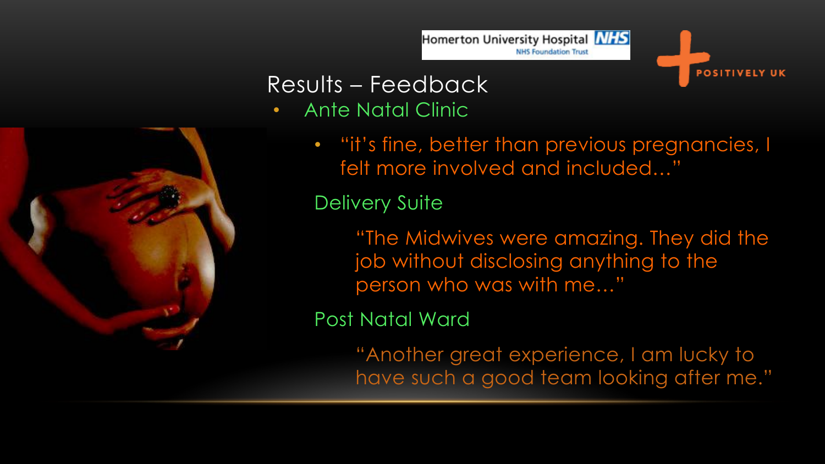



- Ante Natal Clinic
	- "it's fine, better than previous pregnancies, I felt more involved and included…"

Homerton University Hospital **NHS** 

**NHS Foundation Trust** 

**OSITIVELY UK** 

Delivery Suite

"The Midwives were amazing. They did the job without disclosing anything to the person who was with me…"

Post Natal Ward

"Another great experience, I am lucky to have such a good team looking after me."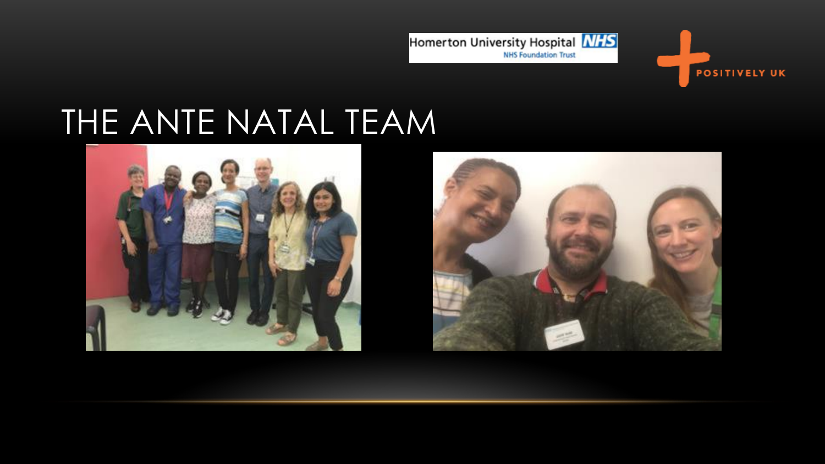

### THE ANTE NATAL TEAM





**POSITIVELY UK**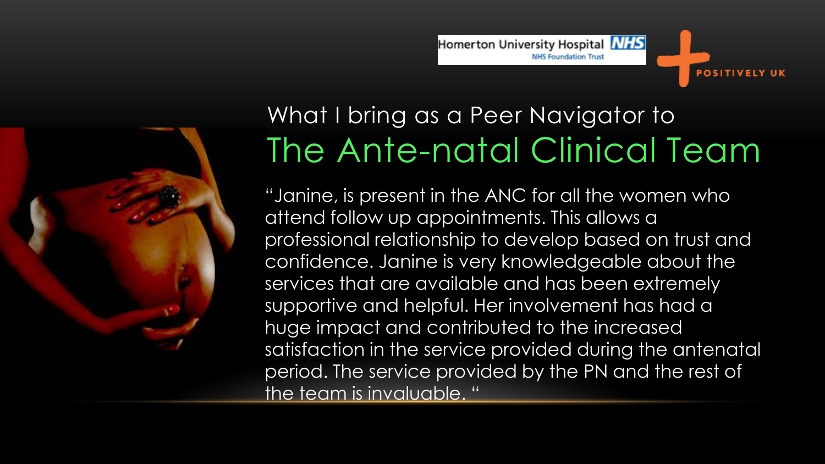



### What I bring as a Peer Navigator to The Ante-natal Clinical Team

"Janine, is present in the ANC for all the women who attend follow up appointments. This allows a professional relationship to develop based on trust and confidence. Janine is very knowledgeable about the services that are available and has been extremely supportive and helpful. Her involvement has had a huge impact and contributed to the increased satisfaction in the service provided during the antenatal period. The service provided by the PN and the rest of the team is invaluable. "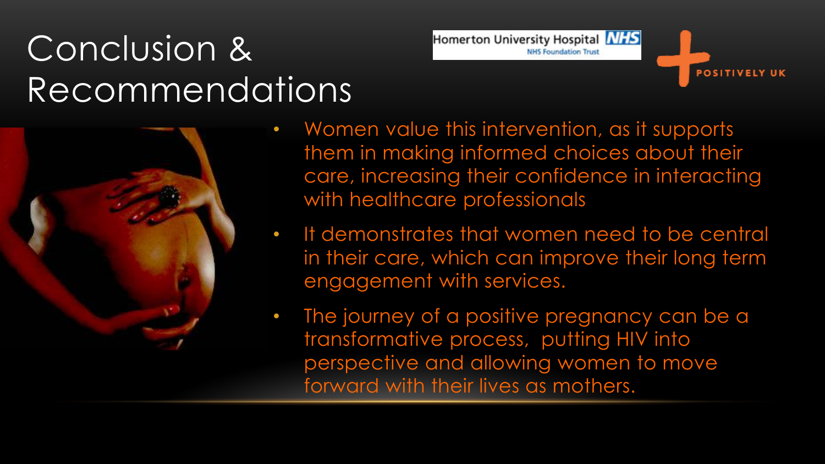## Conclusion & Recommendations



• Women value this intervention, as it supports them in making informed choices about their care, increasing their confidence in interacting with healthcare professionals

Homerton University Hospital **NHS** 

**NHS Foundation Trust** 

- It demonstrates that women need to be central in their care, which can improve their long term engagement with services.
- The journey of a positive pregnancy can be a transformative process, putting HIV into perspective and allowing women to move forward with their lives as mothers.